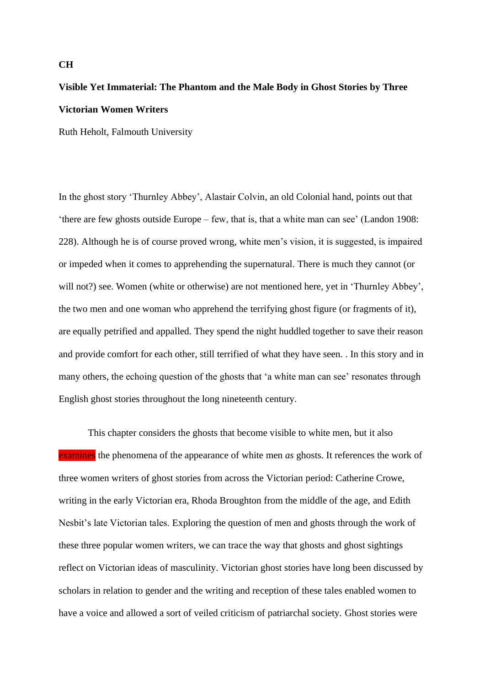# **Visible Yet Immaterial: The Phantom and the Male Body in Ghost Stories by Three Victorian Women Writers**

Ruth Heholt, Falmouth University

In the ghost story 'Thurnley Abbey', Alastair Colvin, an old Colonial hand, points out that 'there are few ghosts outside Europe – few, that is, that a white man can see' (Landon 1908: 228). Although he is of course proved wrong, white men's vision, it is suggested, is impaired or impeded when it comes to apprehending the supernatural. There is much they cannot (or will not?) see. Women (white or otherwise) are not mentioned here, yet in 'Thurnley Abbey', the two men and one woman who apprehend the terrifying ghost figure (or fragments of it), are equally petrified and appalled. They spend the night huddled together to save their reason and provide comfort for each other, still terrified of what they have seen. . In this story and in many others, the echoing question of the ghosts that 'a white man can see' resonates through English ghost stories throughout the long nineteenth century.

This chapter considers the ghosts that become visible to white men, but it also examines the phenomena of the appearance of white men *as* ghosts. It references the work of three women writers of ghost stories from across the Victorian period: Catherine Crowe, writing in the early Victorian era, Rhoda Broughton from the middle of the age, and Edith Nesbit's late Victorian tales. Exploring the question of men and ghosts through the work of these three popular women writers, we can trace the way that ghosts and ghost sightings reflect on Victorian ideas of masculinity. Victorian ghost stories have long been discussed by scholars in relation to gender and the writing and reception of these tales enabled women to have a voice and allowed a sort of veiled criticism of patriarchal society. Ghost stories were

### **CH**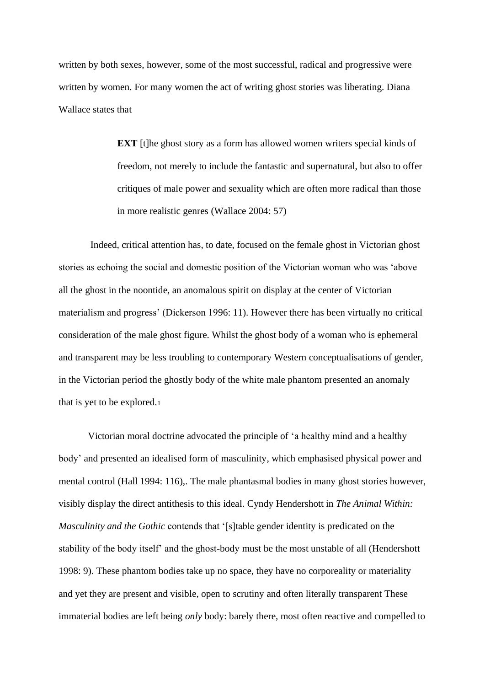written by both sexes, however, some of the most successful, radical and progressive were written by women. For many women the act of writing ghost stories was liberating. Diana Wallace states that

> **EXT** [t]he ghost story as a form has allowed women writers special kinds of freedom, not merely to include the fantastic and supernatural, but also to offer critiques of male power and sexuality which are often more radical than those in more realistic genres (Wallace 2004: 57)

Indeed, critical attention has, to date, focused on the female ghost in Victorian ghost stories as echoing the social and domestic position of the Victorian woman who was 'above all the ghost in the noontide, an anomalous spirit on display at the center of Victorian materialism and progress' (Dickerson 1996: 11). However there has been virtually no critical consideration of the male ghost figure. Whilst the ghost body of a woman who is ephemeral and transparent may be less troubling to contemporary Western conceptualisations of gender, in the Victorian period the ghostly body of the white male phantom presented an anomaly that is yet to be explored.<sup>1</sup>

Victorian moral doctrine advocated the principle of 'a healthy mind and a healthy body' and presented an idealised form of masculinity, which emphasised physical power and mental control (Hall 1994: 116),. The male phantasmal bodies in many ghost stories however, visibly display the direct antithesis to this ideal. Cyndy Hendershott in *The Animal Within: Masculinity and the Gothic* contends that '[s]table gender identity is predicated on the stability of the body itself' and the ghost-body must be the most unstable of all (Hendershott 1998: 9). These phantom bodies take up no space, they have no corporeality or materiality and yet they are present and visible, open to scrutiny and often literally transparent These immaterial bodies are left being *only* body: barely there, most often reactive and compelled to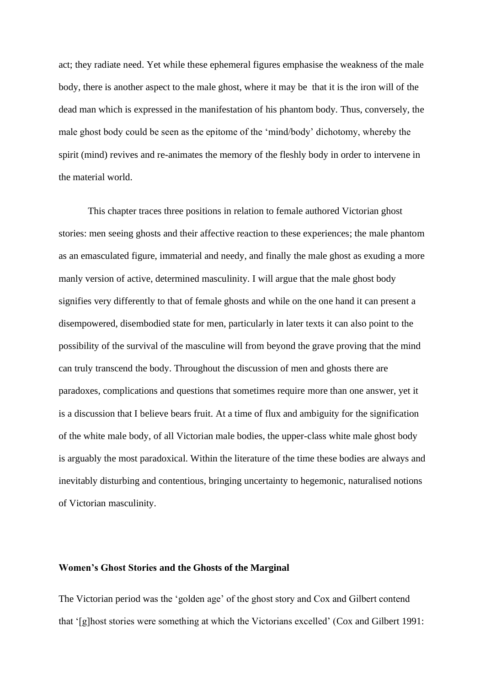act; they radiate need. Yet while these ephemeral figures emphasise the weakness of the male body, there is another aspect to the male ghost, where it may be that it is the iron will of the dead man which is expressed in the manifestation of his phantom body. Thus, conversely, the male ghost body could be seen as the epitome of the 'mind/body' dichotomy, whereby the spirit (mind) revives and re-animates the memory of the fleshly body in order to intervene in the material world.

This chapter traces three positions in relation to female authored Victorian ghost stories: men seeing ghosts and their affective reaction to these experiences; the male phantom as an emasculated figure, immaterial and needy, and finally the male ghost as exuding a more manly version of active, determined masculinity. I will argue that the male ghost body signifies very differently to that of female ghosts and while on the one hand it can present a disempowered, disembodied state for men, particularly in later texts it can also point to the possibility of the survival of the masculine will from beyond the grave proving that the mind can truly transcend the body. Throughout the discussion of men and ghosts there are paradoxes, complications and questions that sometimes require more than one answer, yet it is a discussion that I believe bears fruit. At a time of flux and ambiguity for the signification of the white male body, of all Victorian male bodies, the upper-class white male ghost body is arguably the most paradoxical. Within the literature of the time these bodies are always and inevitably disturbing and contentious, bringing uncertainty to hegemonic, naturalised notions of Victorian masculinity.

## **Women's Ghost Stories and the Ghosts of the Marginal**

The Victorian period was the 'golden age' of the ghost story and Cox and Gilbert contend that '[g]host stories were something at which the Victorians excelled' (Cox and Gilbert 1991: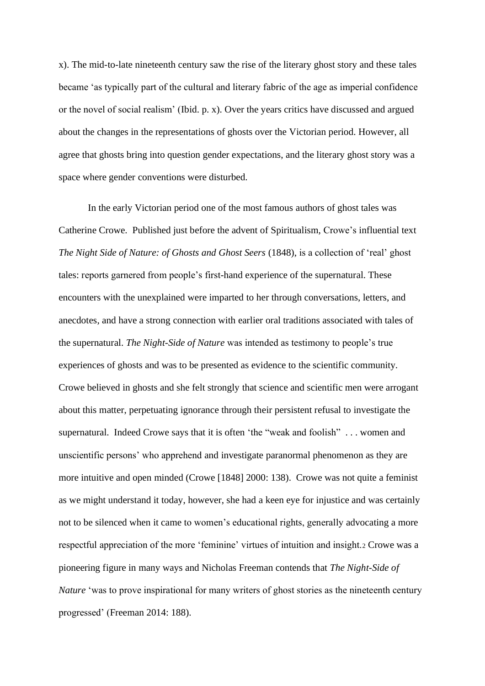x). The mid-to-late nineteenth century saw the rise of the literary ghost story and these tales became 'as typically part of the cultural and literary fabric of the age as imperial confidence or the novel of social realism' (Ibid. p. x). Over the years critics have discussed and argued about the changes in the representations of ghosts over the Victorian period. However, all agree that ghosts bring into question gender expectations, and the literary ghost story was a space where gender conventions were disturbed.

In the early Victorian period one of the most famous authors of ghost tales was Catherine Crowe. Published just before the advent of Spiritualism, Crowe's influential text *The Night Side of Nature: of Ghosts and Ghost Seers* (1848), is a collection of 'real' ghost tales: reports garnered from people's first-hand experience of the supernatural. These encounters with the unexplained were imparted to her through conversations, letters, and anecdotes, and have a strong connection with earlier oral traditions associated with tales of the supernatural. *The Night-Side of Nature* was intended as testimony to people's true experiences of ghosts and was to be presented as evidence to the scientific community. Crowe believed in ghosts and she felt strongly that science and scientific men were arrogant about this matter, perpetuating ignorance through their persistent refusal to investigate the supernatural. Indeed Crowe says that it is often 'the "weak and foolish" . . . women and unscientific persons' who apprehend and investigate paranormal phenomenon as they are more intuitive and open minded (Crowe [1848] 2000: 138). Crowe was not quite a feminist as we might understand it today, however, she had a keen eye for injustice and was certainly not to be silenced when it came to women's educational rights, generally advocating a more respectful appreciation of the more 'feminine' virtues of intuition and insight.<sup>2</sup> Crowe was a pioneering figure in many ways and Nicholas Freeman contends that *The Night-Side of Nature* 'was to prove inspirational for many writers of ghost stories as the nineteenth century progressed' (Freeman 2014: 188).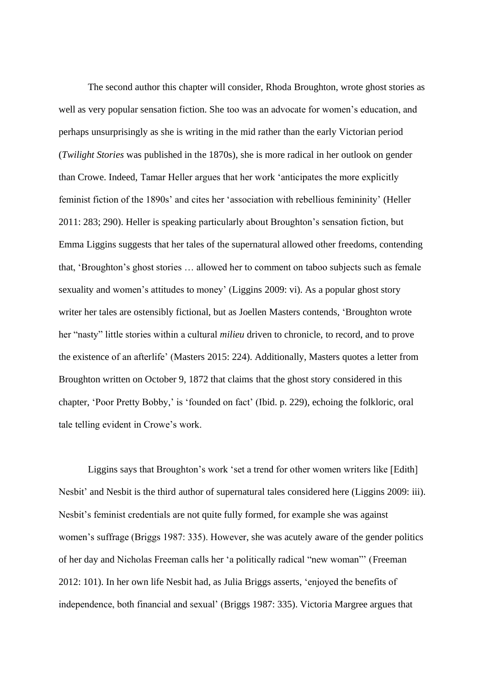The second author this chapter will consider, Rhoda Broughton, wrote ghost stories as well as very popular sensation fiction. She too was an advocate for women's education, and perhaps unsurprisingly as she is writing in the mid rather than the early Victorian period (*Twilight Stories* was published in the 1870s), she is more radical in her outlook on gender than Crowe. Indeed, Tamar Heller argues that her work 'anticipates the more explicitly feminist fiction of the 1890s' and cites her 'association with rebellious femininity' (Heller 2011: 283; 290). Heller is speaking particularly about Broughton's sensation fiction, but Emma Liggins suggests that her tales of the supernatural allowed other freedoms, contending that, 'Broughton's ghost stories … allowed her to comment on taboo subjects such as female sexuality and women's attitudes to money' (Liggins 2009: vi). As a popular ghost story writer her tales are ostensibly fictional, but as Joellen Masters contends, 'Broughton wrote her "nasty" little stories within a cultural *milieu* driven to chronicle, to record, and to prove the existence of an afterlife' (Masters 2015: 224). Additionally, Masters quotes a letter from Broughton written on October 9, 1872 that claims that the ghost story considered in this chapter, 'Poor Pretty Bobby,' is 'founded on fact' (Ibid. p. 229), echoing the folkloric, oral tale telling evident in Crowe's work.

Liggins says that Broughton's work 'set a trend for other women writers like [Edith] Nesbit' and Nesbit is the third author of supernatural tales considered here (Liggins 2009: iii). Nesbit's feminist credentials are not quite fully formed, for example she was against women's suffrage (Briggs 1987: 335). However, she was acutely aware of the gender politics of her day and Nicholas Freeman calls her 'a politically radical "new woman"' (Freeman 2012: 101). In her own life Nesbit had, as Julia Briggs asserts, 'enjoyed the benefits of independence, both financial and sexual' (Briggs 1987: 335). Victoria Margree argues that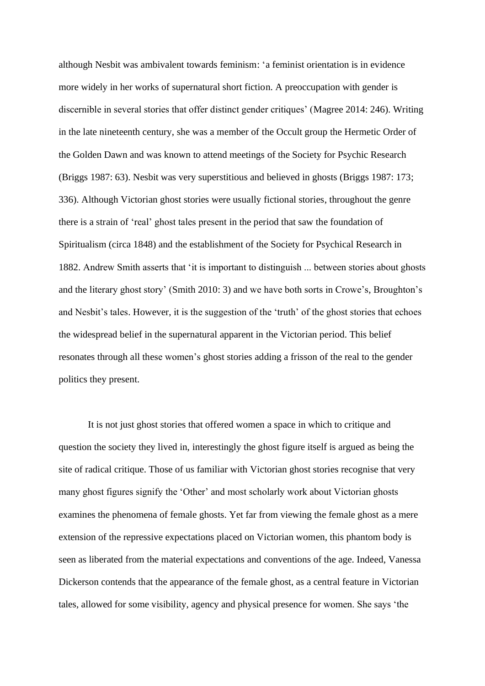although Nesbit was ambivalent towards feminism: 'a feminist orientation is in evidence more widely in her works of supernatural short fiction. A preoccupation with gender is discernible in several stories that offer distinct gender critiques' (Magree 2014: 246). Writing in the late nineteenth century, she was a member of the Occult group the Hermetic Order of the Golden Dawn and was known to attend meetings of the Society for Psychic Research (Briggs 1987: 63). Nesbit was very superstitious and believed in ghosts (Briggs 1987: 173; 336). Although Victorian ghost stories were usually fictional stories, throughout the genre there is a strain of 'real' ghost tales present in the period that saw the foundation of Spiritualism (circa 1848) and the establishment of the Society for Psychical Research in 1882. Andrew Smith asserts that 'it is important to distinguish ... between stories about ghosts and the literary ghost story' (Smith 2010: 3) and we have both sorts in Crowe's, Broughton's and Nesbit's tales. However, it is the suggestion of the 'truth' of the ghost stories that echoes the widespread belief in the supernatural apparent in the Victorian period. This belief resonates through all these women's ghost stories adding a frisson of the real to the gender politics they present.

It is not just ghost stories that offered women a space in which to critique and question the society they lived in, interestingly the ghost figure itself is argued as being the site of radical critique. Those of us familiar with Victorian ghost stories recognise that very many ghost figures signify the 'Other' and most scholarly work about Victorian ghosts examines the phenomena of female ghosts. Yet far from viewing the female ghost as a mere extension of the repressive expectations placed on Victorian women, this phantom body is seen as liberated from the material expectations and conventions of the age. Indeed, Vanessa Dickerson contends that the appearance of the female ghost, as a central feature in Victorian tales, allowed for some visibility, agency and physical presence for women. She says 'the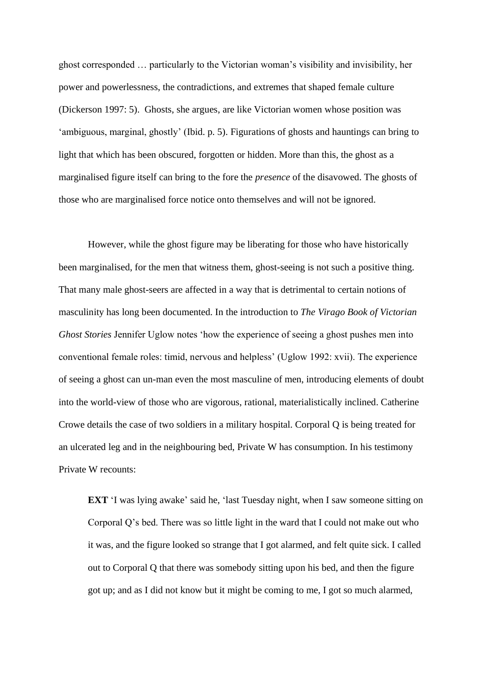ghost corresponded … particularly to the Victorian woman's visibility and invisibility, her power and powerlessness, the contradictions, and extremes that shaped female culture (Dickerson 1997: 5). Ghosts, she argues, are like Victorian women whose position was 'ambiguous, marginal, ghostly' (Ibid. p. 5). Figurations of ghosts and hauntings can bring to light that which has been obscured, forgotten or hidden. More than this, the ghost as a marginalised figure itself can bring to the fore the *presence* of the disavowed. The ghosts of those who are marginalised force notice onto themselves and will not be ignored.

However, while the ghost figure may be liberating for those who have historically been marginalised, for the men that witness them, ghost-seeing is not such a positive thing. That many male ghost-seers are affected in a way that is detrimental to certain notions of masculinity has long been documented. In the introduction to *The Virago Book of Victorian Ghost Stories* Jennifer Uglow notes 'how the experience of seeing a ghost pushes men into conventional female roles: timid, nervous and helpless' (Uglow 1992: xvii). The experience of seeing a ghost can un-man even the most masculine of men, introducing elements of doubt into the world-view of those who are vigorous, rational, materialistically inclined. Catherine Crowe details the case of two soldiers in a military hospital. Corporal Q is being treated for an ulcerated leg and in the neighbouring bed, Private W has consumption. In his testimony Private W recounts:

**EXT** <sup>'</sup>I was lying awake' said he, 'last Tuesday night, when I saw someone sitting on Corporal Q's bed. There was so little light in the ward that I could not make out who it was, and the figure looked so strange that I got alarmed, and felt quite sick. I called out to Corporal Q that there was somebody sitting upon his bed, and then the figure got up; and as I did not know but it might be coming to me, I got so much alarmed,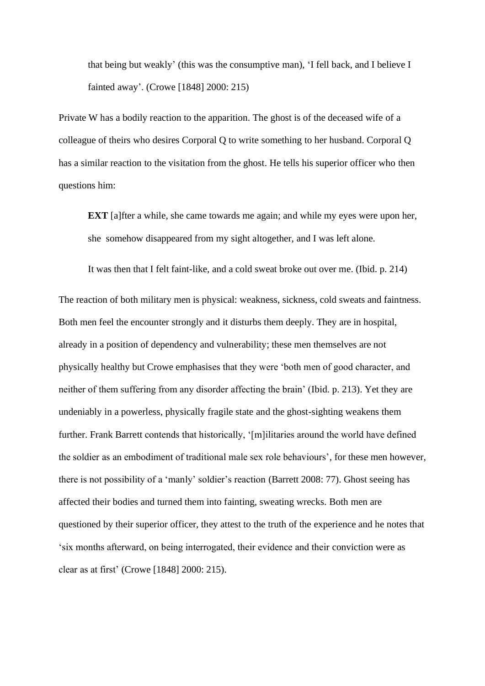that being but weakly' (this was the consumptive man), 'I fell back, and I believe I fainted away'. (Crowe [1848] 2000: 215)

Private W has a bodily reaction to the apparition. The ghost is of the deceased wife of a colleague of theirs who desires Corporal Q to write something to her husband. Corporal Q has a similar reaction to the visitation from the ghost. He tells his superior officer who then questions him:

**EXT** [a]fter a while, she came towards me again; and while my eyes were upon her, she somehow disappeared from my sight altogether, and I was left alone.

It was then that I felt faint-like, and a cold sweat broke out over me. (Ibid. p. 214)

The reaction of both military men is physical: weakness, sickness, cold sweats and faintness. Both men feel the encounter strongly and it disturbs them deeply. They are in hospital, already in a position of dependency and vulnerability; these men themselves are not physically healthy but Crowe emphasises that they were 'both men of good character, and neither of them suffering from any disorder affecting the brain' (Ibid. p. 213). Yet they are undeniably in a powerless, physically fragile state and the ghost-sighting weakens them further. Frank Barrett contends that historically, '[m]ilitaries around the world have defined the soldier as an embodiment of traditional male sex role behaviours', for these men however, there is not possibility of a 'manly' soldier's reaction (Barrett 2008: 77). Ghost seeing has affected their bodies and turned them into fainting, sweating wrecks. Both men are questioned by their superior officer, they attest to the truth of the experience and he notes that 'six months afterward, on being interrogated, their evidence and their conviction were as clear as at first' (Crowe [1848] 2000: 215).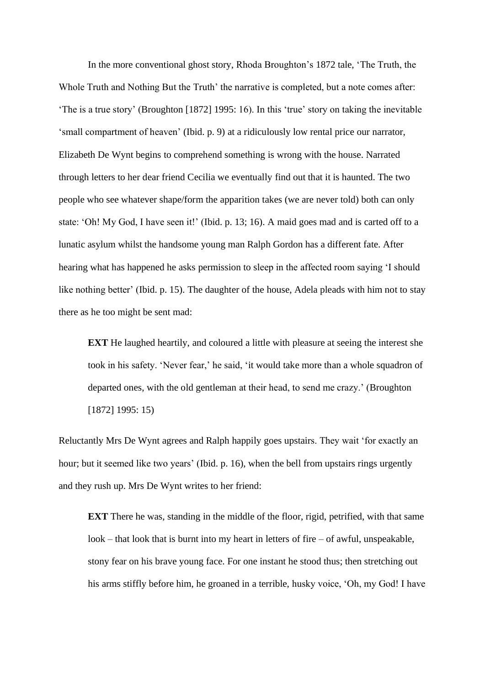In the more conventional ghost story, Rhoda Broughton's 1872 tale, 'The Truth, the Whole Truth and Nothing But the Truth' the narrative is completed, but a note comes after: 'The is a true story' (Broughton [1872] 1995: 16). In this 'true' story on taking the inevitable 'small compartment of heaven' (Ibid. p. 9) at a ridiculously low rental price our narrator, Elizabeth De Wynt begins to comprehend something is wrong with the house. Narrated through letters to her dear friend Cecilia we eventually find out that it is haunted. The two people who see whatever shape/form the apparition takes (we are never told) both can only state: 'Oh! My God, I have seen it!' (Ibid. p. 13; 16). A maid goes mad and is carted off to a lunatic asylum whilst the handsome young man Ralph Gordon has a different fate. After hearing what has happened he asks permission to sleep in the affected room saying 'I should like nothing better' (Ibid. p. 15). The daughter of the house, Adela pleads with him not to stay there as he too might be sent mad:

**EXT** He laughed heartily, and coloured a little with pleasure at seeing the interest she took in his safety. 'Never fear,' he said, 'it would take more than a whole squadron of departed ones, with the old gentleman at their head, to send me crazy.' (Broughton [1872] 1995: 15)

Reluctantly Mrs De Wynt agrees and Ralph happily goes upstairs. They wait 'for exactly an hour; but it seemed like two years' (Ibid. p. 16), when the bell from upstairs rings urgently and they rush up. Mrs De Wynt writes to her friend:

**EXT** There he was, standing in the middle of the floor, rigid, petrified, with that same look – that look that is burnt into my heart in letters of fire – of awful, unspeakable, stony fear on his brave young face. For one instant he stood thus; then stretching out his arms stiffly before him, he groaned in a terrible, husky voice, 'Oh, my God! I have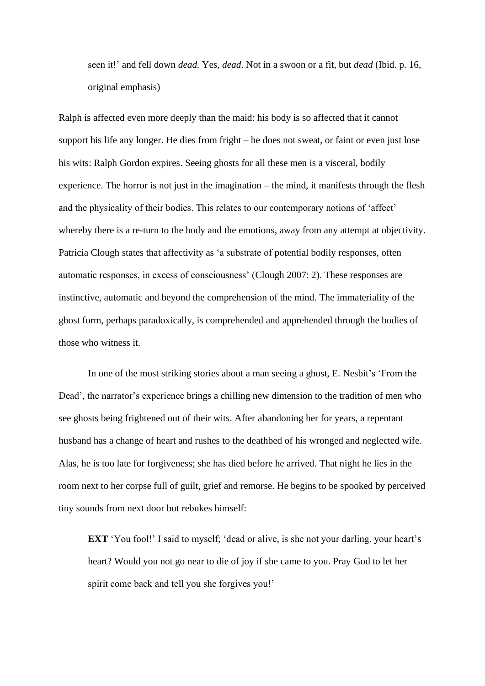seen it!' and fell down *dead.* Yes, *dead*. Not in a swoon or a fit, but *dead* (Ibid. p. 16, original emphasis)

Ralph is affected even more deeply than the maid: his body is so affected that it cannot support his life any longer. He dies from fright – he does not sweat, or faint or even just lose his wits: Ralph Gordon expires. Seeing ghosts for all these men is a visceral, bodily experience. The horror is not just in the imagination – the mind, it manifests through the flesh and the physicality of their bodies. This relates to our contemporary notions of 'affect' whereby there is a re-turn to the body and the emotions, away from any attempt at objectivity. Patricia Clough states that affectivity as 'a substrate of potential bodily responses, often automatic responses, in excess of consciousness' (Clough 2007: 2). These responses are instinctive, automatic and beyond the comprehension of the mind. The immateriality of the ghost form, perhaps paradoxically, is comprehended and apprehended through the bodies of those who witness it.

In one of the most striking stories about a man seeing a ghost, E. Nesbit's 'From the Dead', the narrator's experience brings a chilling new dimension to the tradition of men who see ghosts being frightened out of their wits. After abandoning her for years, a repentant husband has a change of heart and rushes to the deathbed of his wronged and neglected wife. Alas, he is too late for forgiveness; she has died before he arrived. That night he lies in the room next to her corpse full of guilt, grief and remorse. He begins to be spooked by perceived tiny sounds from next door but rebukes himself:

**EXT** 'You fool!' I said to myself; 'dead or alive, is she not your darling, your heart's heart? Would you not go near to die of joy if she came to you. Pray God to let her spirit come back and tell you she forgives you!'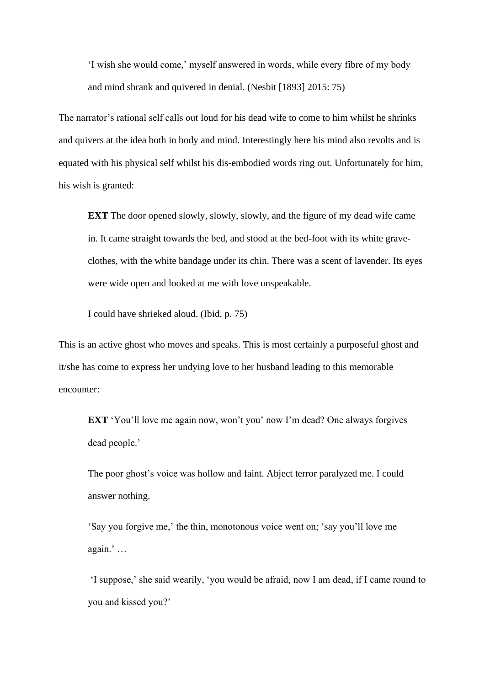'I wish she would come,' myself answered in words, while every fibre of my body and mind shrank and quivered in denial. (Nesbit [1893] 2015: 75)

The narrator's rational self calls out loud for his dead wife to come to him whilst he shrinks and quivers at the idea both in body and mind. Interestingly here his mind also revolts and is equated with his physical self whilst his dis-embodied words ring out. Unfortunately for him, his wish is granted:

**EXT** The door opened slowly, slowly, slowly, and the figure of my dead wife came in. It came straight towards the bed, and stood at the bed-foot with its white graveclothes, with the white bandage under its chin. There was a scent of lavender. Its eyes were wide open and looked at me with love unspeakable.

I could have shrieked aloud. (Ibid. p. 75)

This is an active ghost who moves and speaks. This is most certainly a purposeful ghost and it/she has come to express her undying love to her husband leading to this memorable encounter:

**EXT** 'You'll love me again now, won't you' now I'm dead? One always forgives dead people.'

The poor ghost's voice was hollow and faint. Abject terror paralyzed me. I could answer nothing.

'Say you forgive me,' the thin, monotonous voice went on; 'say you'll love me again.' …

'I suppose,' she said wearily, 'you would be afraid, now I am dead, if I came round to you and kissed you?'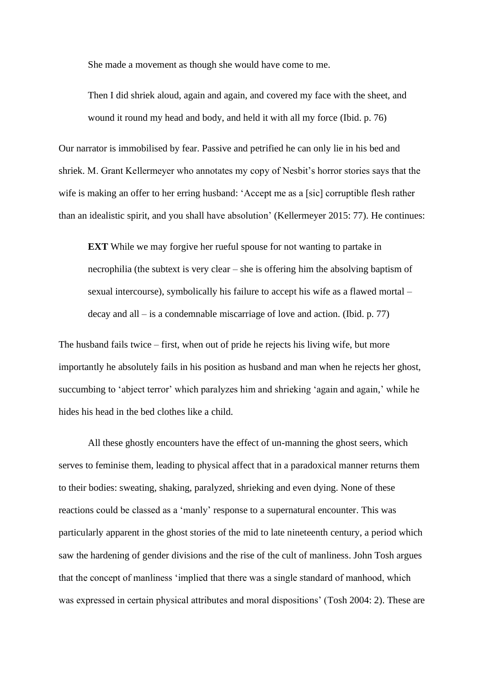She made a movement as though she would have come to me.

Then I did shriek aloud, again and again, and covered my face with the sheet, and wound it round my head and body, and held it with all my force (Ibid. p. 76)

Our narrator is immobilised by fear. Passive and petrified he can only lie in his bed and shriek. M. Grant Kellermeyer who annotates my copy of Nesbit's horror stories says that the wife is making an offer to her erring husband: 'Accept me as a [sic] corruptible flesh rather than an idealistic spirit, and you shall have absolution' (Kellermeyer 2015: 77). He continues:

**EXT** While we may forgive her rueful spouse for not wanting to partake in necrophilia (the subtext is very clear – she is offering him the absolving baptism of sexual intercourse), symbolically his failure to accept his wife as a flawed mortal – decay and all – is a condemnable miscarriage of love and action. (Ibid. p. 77)

The husband fails twice – first, when out of pride he rejects his living wife, but more importantly he absolutely fails in his position as husband and man when he rejects her ghost, succumbing to 'abject terror' which paralyzes him and shrieking 'again and again,' while he hides his head in the bed clothes like a child.

All these ghostly encounters have the effect of un-manning the ghost seers, which serves to feminise them, leading to physical affect that in a paradoxical manner returns them to their bodies: sweating, shaking, paralyzed, shrieking and even dying. None of these reactions could be classed as a 'manly' response to a supernatural encounter. This was particularly apparent in the ghost stories of the mid to late nineteenth century, a period which saw the hardening of gender divisions and the rise of the cult of manliness. John Tosh argues that the concept of manliness 'implied that there was a single standard of manhood, which was expressed in certain physical attributes and moral dispositions' (Tosh 2004: 2). These are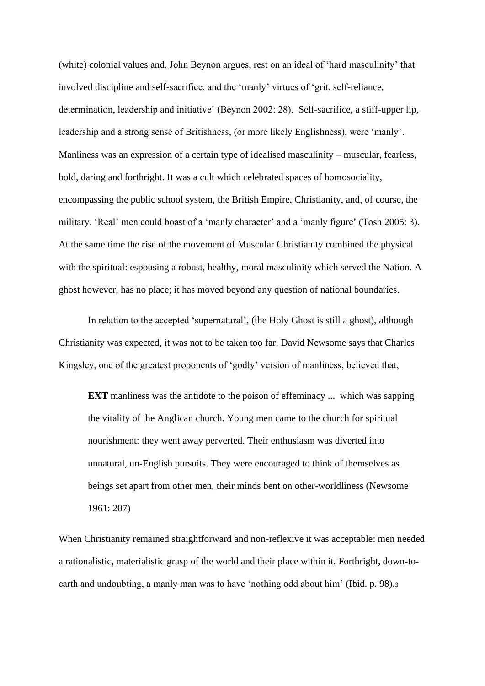(white) colonial values and, John Beynon argues, rest on an ideal of 'hard masculinity' that involved discipline and self-sacrifice, and the 'manly' virtues of 'grit, self-reliance, determination, leadership and initiative' (Beynon 2002: 28). Self-sacrifice, a stiff-upper lip, leadership and a strong sense of Britishness, (or more likely Englishness), were 'manly'. Manliness was an expression of a certain type of idealised masculinity – muscular, fearless, bold, daring and forthright. It was a cult which celebrated spaces of homosociality, encompassing the public school system, the British Empire, Christianity, and, of course, the military. 'Real' men could boast of a 'manly character' and a 'manly figure' (Tosh 2005: 3). At the same time the rise of the movement of Muscular Christianity combined the physical with the spiritual: espousing a robust, healthy, moral masculinity which served the Nation. A ghost however, has no place; it has moved beyond any question of national boundaries.

In relation to the accepted 'supernatural', (the Holy Ghost is still a ghost), although Christianity was expected, it was not to be taken too far. David Newsome says that Charles Kingsley, one of the greatest proponents of 'godly' version of manliness, believed that,

**EXT** manliness was the antidote to the poison of effeminacy ... which was sapping the vitality of the Anglican church. Young men came to the church for spiritual nourishment: they went away perverted. Their enthusiasm was diverted into unnatural, un-English pursuits. They were encouraged to think of themselves as beings set apart from other men, their minds bent on other-worldliness (Newsome 1961: 207)

When Christianity remained straightforward and non-reflexive it was acceptable: men needed a rationalistic, materialistic grasp of the world and their place within it. Forthright, down-toearth and undoubting, a manly man was to have 'nothing odd about him' (Ibid. p. 98).<sup>3</sup>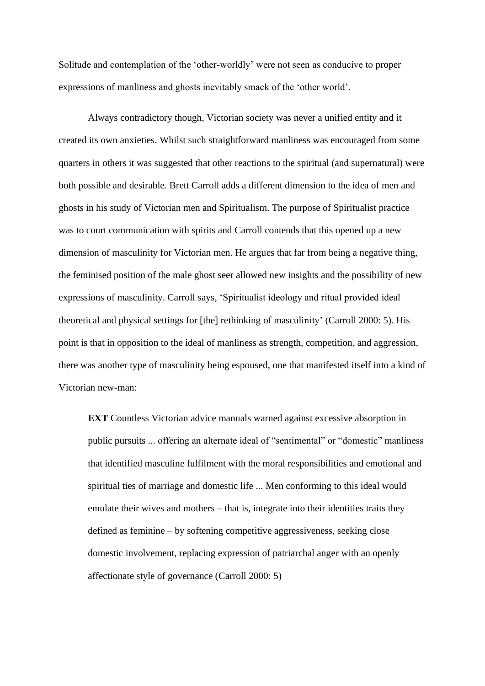Solitude and contemplation of the 'other-worldly' were not seen as conducive to proper expressions of manliness and ghosts inevitably smack of the 'other world'.

Always contradictory though, Victorian society was never a unified entity and it created its own anxieties. Whilst such straightforward manliness was encouraged from some quarters in others it was suggested that other reactions to the spiritual (and supernatural) were both possible and desirable. Brett Carroll adds a different dimension to the idea of men and ghosts in his study of Victorian men and Spiritualism. The purpose of Spiritualist practice was to court communication with spirits and Carroll contends that this opened up a new dimension of masculinity for Victorian men. He argues that far from being a negative thing, the feminised position of the male ghost seer allowed new insights and the possibility of new expressions of masculinity. Carroll says, 'Spiritualist ideology and ritual provided ideal theoretical and physical settings for [the] rethinking of masculinity' (Carroll 2000: 5). His point is that in opposition to the ideal of manliness as strength, competition, and aggression, there was another type of masculinity being espoused, one that manifested itself into a kind of Victorian new-man:

**EXT** Countless Victorian advice manuals warned against excessive absorption in public pursuits ... offering an alternate ideal of "sentimental" or "domestic" manliness that identified masculine fulfilment with the moral responsibilities and emotional and spiritual ties of marriage and domestic life ... Men conforming to this ideal would emulate their wives and mothers – that is, integrate into their identities traits they defined as feminine – by softening competitive aggressiveness, seeking close domestic involvement, replacing expression of patriarchal anger with an openly affectionate style of governance (Carroll 2000: 5)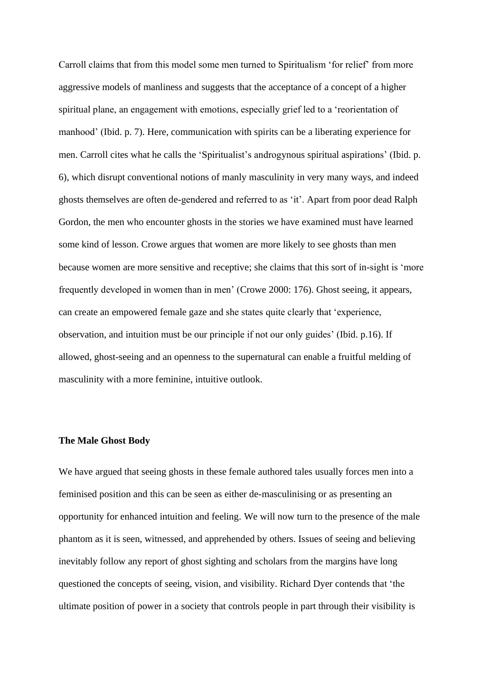Carroll claims that from this model some men turned to Spiritualism 'for relief' from more aggressive models of manliness and suggests that the acceptance of a concept of a higher spiritual plane, an engagement with emotions, especially grief led to a 'reorientation of manhood' (Ibid. p. 7). Here, communication with spirits can be a liberating experience for men. Carroll cites what he calls the 'Spiritualist's androgynous spiritual aspirations' (Ibid. p. 6), which disrupt conventional notions of manly masculinity in very many ways, and indeed ghosts themselves are often de-gendered and referred to as 'it'. Apart from poor dead Ralph Gordon, the men who encounter ghosts in the stories we have examined must have learned some kind of lesson. Crowe argues that women are more likely to see ghosts than men because women are more sensitive and receptive; she claims that this sort of in-sight is 'more frequently developed in women than in men' (Crowe 2000: 176). Ghost seeing, it appears, can create an empowered female gaze and she states quite clearly that 'experience, observation, and intuition must be our principle if not our only guides' (Ibid. p.16). If allowed, ghost-seeing and an openness to the supernatural can enable a fruitful melding of masculinity with a more feminine, intuitive outlook.

#### **The Male Ghost Body**

We have argued that seeing ghosts in these female authored tales usually forces men into a feminised position and this can be seen as either de-masculinising or as presenting an opportunity for enhanced intuition and feeling. We will now turn to the presence of the male phantom as it is seen, witnessed, and apprehended by others. Issues of seeing and believing inevitably follow any report of ghost sighting and scholars from the margins have long questioned the concepts of seeing, vision, and visibility. Richard Dyer contends that 'the ultimate position of power in a society that controls people in part through their visibility is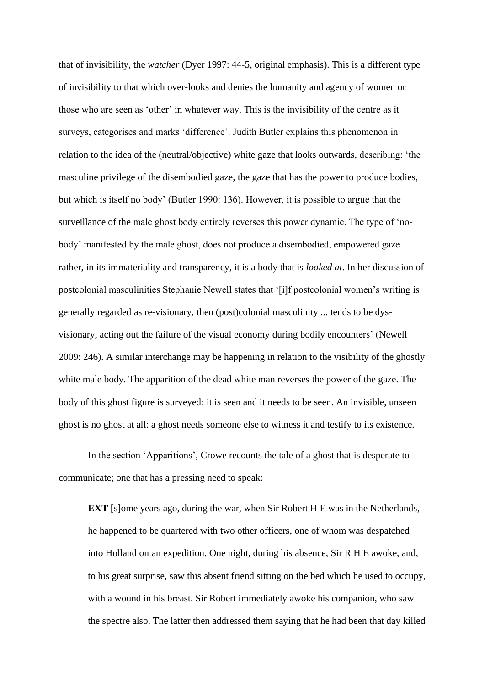that of invisibility, the *watcher* (Dyer 1997: 44-5, original emphasis). This is a different type of invisibility to that which over-looks and denies the humanity and agency of women or those who are seen as 'other' in whatever way. This is the invisibility of the centre as it surveys, categorises and marks 'difference'. Judith Butler explains this phenomenon in relation to the idea of the (neutral/objective) white gaze that looks outwards*,* describing: 'the masculine privilege of the disembodied gaze, the gaze that has the power to produce bodies, but which is itself no body' (Butler 1990: 136). However, it is possible to argue that the surveillance of the male ghost body entirely reverses this power dynamic. The type of 'nobody' manifested by the male ghost, does not produce a disembodied, empowered gaze rather, in its immateriality and transparency, it is a body that is *looked at*. In her discussion of postcolonial masculinities Stephanie Newell states that '[i]f postcolonial women's writing is generally regarded as re-visionary, then (post)colonial masculinity ... tends to be dysvisionary, acting out the failure of the visual economy during bodily encounters' (Newell 2009: 246). A similar interchange may be happening in relation to the visibility of the ghostly white male body. The apparition of the dead white man reverses the power of the gaze. The body of this ghost figure is surveyed: it is seen and it needs to be seen. An invisible, unseen ghost is no ghost at all: a ghost needs someone else to witness it and testify to its existence.

In the section 'Apparitions', Crowe recounts the tale of a ghost that is desperate to communicate; one that has a pressing need to speak:

**EXT** [s]ome years ago, during the war, when Sir Robert H E was in the Netherlands, he happened to be quartered with two other officers, one of whom was despatched into Holland on an expedition. One night, during his absence, Sir R H E awoke, and, to his great surprise, saw this absent friend sitting on the bed which he used to occupy, with a wound in his breast. Sir Robert immediately awoke his companion, who saw the spectre also. The latter then addressed them saying that he had been that day killed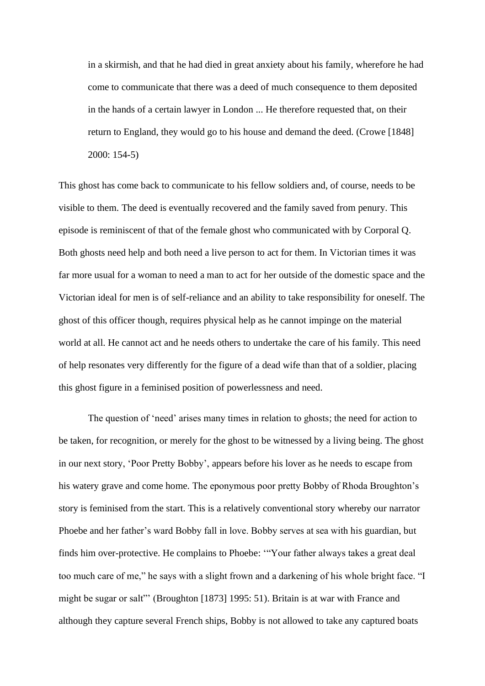in a skirmish, and that he had died in great anxiety about his family, wherefore he had come to communicate that there was a deed of much consequence to them deposited in the hands of a certain lawyer in London ... He therefore requested that, on their return to England, they would go to his house and demand the deed. (Crowe [1848] 2000: 154-5)

This ghost has come back to communicate to his fellow soldiers and, of course, needs to be visible to them. The deed is eventually recovered and the family saved from penury. This episode is reminiscent of that of the female ghost who communicated with by Corporal Q. Both ghosts need help and both need a live person to act for them. In Victorian times it was far more usual for a woman to need a man to act for her outside of the domestic space and the Victorian ideal for men is of self-reliance and an ability to take responsibility for oneself. The ghost of this officer though, requires physical help as he cannot impinge on the material world at all. He cannot act and he needs others to undertake the care of his family*.* This need of help resonates very differently for the figure of a dead wife than that of a soldier, placing this ghost figure in a feminised position of powerlessness and need.

The question of 'need' arises many times in relation to ghosts; the need for action to be taken, for recognition, or merely for the ghost to be witnessed by a living being. The ghost in our next story, 'Poor Pretty Bobby', appears before his lover as he needs to escape from his watery grave and come home. The eponymous poor pretty Bobby of Rhoda Broughton's story is feminised from the start. This is a relatively conventional story whereby our narrator Phoebe and her father's ward Bobby fall in love. Bobby serves at sea with his guardian, but finds him over-protective. He complains to Phoebe: '"Your father always takes a great deal too much care of me," he says with a slight frown and a darkening of his whole bright face. "I might be sugar or salt"' (Broughton [1873] 1995: 51). Britain is at war with France and although they capture several French ships, Bobby is not allowed to take any captured boats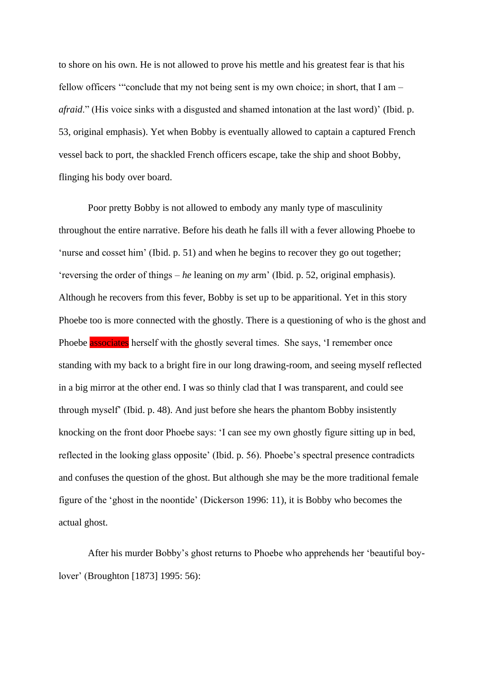to shore on his own. He is not allowed to prove his mettle and his greatest fear is that his fellow officers '"conclude that my not being sent is my own choice; in short, that I am – *afraid*." (His voice sinks with a disgusted and shamed intonation at the last word)' (Ibid. p. 53, original emphasis). Yet when Bobby is eventually allowed to captain a captured French vessel back to port, the shackled French officers escape, take the ship and shoot Bobby, flinging his body over board.

Poor pretty Bobby is not allowed to embody any manly type of masculinity throughout the entire narrative. Before his death he falls ill with a fever allowing Phoebe to 'nurse and cosset him' (Ibid. p. 51) and when he begins to recover they go out together; 'reversing the order of things – *he* leaning on *my* arm' (Ibid. p. 52, original emphasis). Although he recovers from this fever, Bobby is set up to be apparitional. Yet in this story Phoebe too is more connected with the ghostly. There is a questioning of who is the ghost and Phoebe associates herself with the ghostly several times. She says, 'I remember once standing with my back to a bright fire in our long drawing-room, and seeing myself reflected in a big mirror at the other end. I was so thinly clad that I was transparent, and could see through myself' (Ibid. p. 48). And just before she hears the phantom Bobby insistently knocking on the front door Phoebe says: 'I can see my own ghostly figure sitting up in bed, reflected in the looking glass opposite' (Ibid. p. 56). Phoebe's spectral presence contradicts and confuses the question of the ghost. But although she may be the more traditional female figure of the 'ghost in the noontide' (Dickerson 1996: 11), it is Bobby who becomes the actual ghost.

After his murder Bobby's ghost returns to Phoebe who apprehends her 'beautiful boylover' (Broughton [1873] 1995: 56):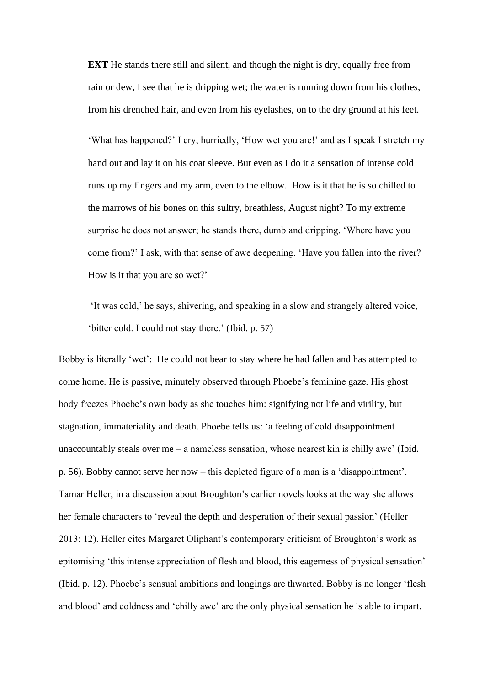**EXT** He stands there still and silent, and though the night is dry, equally free from rain or dew, I see that he is dripping wet; the water is running down from his clothes, from his drenched hair, and even from his eyelashes, on to the dry ground at his feet.

'What has happened?' I cry, hurriedly, 'How wet you are!' and as I speak I stretch my hand out and lay it on his coat sleeve. But even as I do it a sensation of intense cold runs up my fingers and my arm, even to the elbow. How is it that he is so chilled to the marrows of his bones on this sultry, breathless, August night? To my extreme surprise he does not answer; he stands there, dumb and dripping. 'Where have you come from?' I ask, with that sense of awe deepening. 'Have you fallen into the river? How is it that you are so wet?'

'It was cold,' he says, shivering, and speaking in a slow and strangely altered voice, 'bitter cold. I could not stay there.' (Ibid. p. 57)

Bobby is literally 'wet': He could not bear to stay where he had fallen and has attempted to come home. He is passive, minutely observed through Phoebe's feminine gaze. His ghost body freezes Phoebe's own body as she touches him: signifying not life and virility, but stagnation, immateriality and death. Phoebe tells us: 'a feeling of cold disappointment unaccountably steals over me – a nameless sensation, whose nearest kin is chilly awe' (Ibid. p. 56). Bobby cannot serve her now – this depleted figure of a man is a 'disappointment'. Tamar Heller, in a discussion about Broughton's earlier novels looks at the way she allows her female characters to 'reveal the depth and desperation of their sexual passion' (Heller 2013: 12). Heller cites Margaret Oliphant's contemporary criticism of Broughton's work as epitomising 'this intense appreciation of flesh and blood, this eagerness of physical sensation' (Ibid. p. 12). Phoebe's sensual ambitions and longings are thwarted. Bobby is no longer 'flesh and blood' and coldness and 'chilly awe' are the only physical sensation he is able to impart.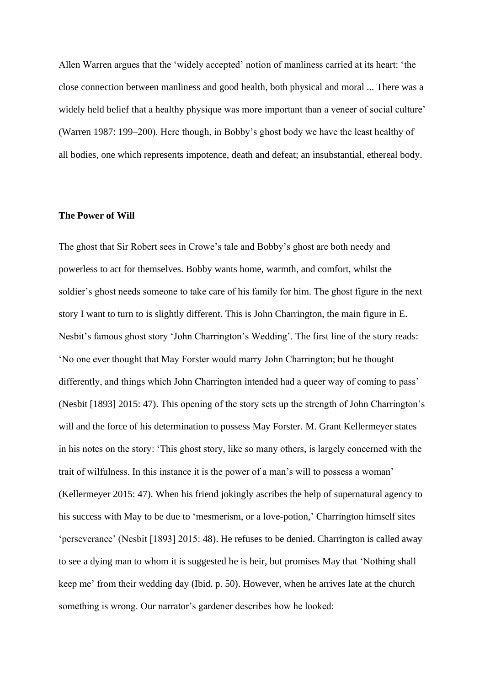Allen Warren argues that the 'widely accepted' notion of manliness carried at its heart: 'the close connection between manliness and good health, both physical and moral ... There was a widely held belief that a healthy physique was more important than a veneer of social culture' (Warren 1987: 199–200). Here though, in Bobby's ghost body we have the least healthy of all bodies, one which represents impotence, death and defeat; an insubstantial, ethereal body.

### **The Power of Will**

The ghost that Sir Robert sees in Crowe's tale and Bobby's ghost are both needy and powerless to act for themselves. Bobby wants home, warmth, and comfort, whilst the soldier's ghost needs someone to take care of his family for him. The ghost figure in the next story I want to turn to is slightly different. This is John Charrington, the main figure in E. Nesbit's famous ghost story 'John Charrington's Wedding'. The first line of the story reads: 'No one ever thought that May Forster would marry John Charrington; but he thought differently, and things which John Charrington intended had a queer way of coming to pass' (Nesbit [1893] 2015: 47). This opening of the story sets up the strength of John Charrington's will and the force of his determination to possess May Forster. M. Grant Kellermeyer states in his notes on the story: 'This ghost story, like so many others, is largely concerned with the trait of wilfulness. In this instance it is the power of a man's will to possess a woman' (Kellermeyer 2015: 47). When his friend jokingly ascribes the help of supernatural agency to his success with May to be due to 'mesmerism, or a love-potion,' Charrington himself sites 'perseverance' (Nesbit [1893] 2015: 48). He refuses to be denied. Charrington is called away to see a dying man to whom it is suggested he is heir, but promises May that 'Nothing shall keep me' from their wedding day (Ibid. p. 50). However, when he arrives late at the church something is wrong. Our narrator's gardener describes how he looked: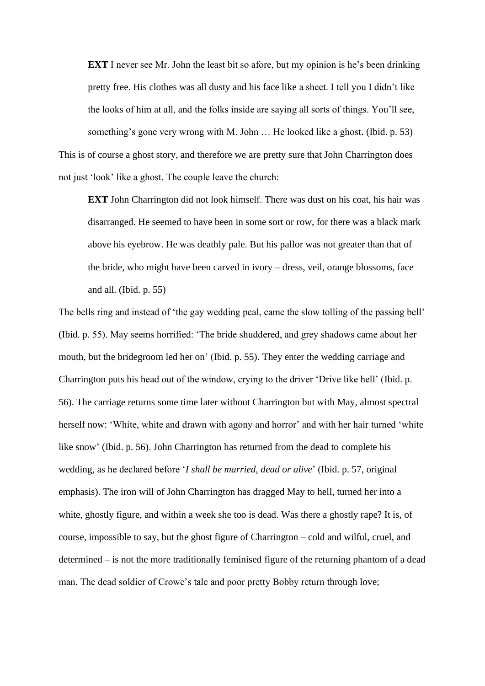**EXT** I never see Mr. John the least bit so afore, but my opinion is he's been drinking pretty free. His clothes was all dusty and his face like a sheet. I tell you I didn't like the looks of him at all, and the folks inside are saying all sorts of things. You'll see, something's gone very wrong with M. John … He looked like a ghost. (Ibid. p. 53) This is of course a ghost story, and therefore we are pretty sure that John Charrington does not just 'look' like a ghost. The couple leave the church:

**EXT** John Charrington did not look himself. There was dust on his coat, his hair was disarranged. He seemed to have been in some sort or row, for there was a black mark above his eyebrow. He was deathly pale. But his pallor was not greater than that of the bride, who might have been carved in ivory – dress, veil, orange blossoms, face and all. (Ibid. p. 55)

The bells ring and instead of 'the gay wedding peal, came the slow tolling of the passing bell' (Ibid. p. 55). May seems horrified: 'The bride shuddered, and grey shadows came about her mouth, but the bridegroom led her on' (Ibid. p. 55). They enter the wedding carriage and Charrington puts his head out of the window, crying to the driver 'Drive like hell' (Ibid. p. 56). The carriage returns some time later without Charrington but with May, almost spectral herself now: 'White, white and drawn with agony and horror' and with her hair turned 'white like snow' (Ibid. p. 56). John Charrington has returned from the dead to complete his wedding, as he declared before '*I shall be married, dead or alive*' (Ibid. p. 57, original emphasis). The iron will of John Charrington has dragged May to hell, turned her into a white, ghostly figure, and within a week she too is dead. Was there a ghostly rape? It is, of course, impossible to say, but the ghost figure of Charrington – cold and wilful, cruel, and determined – is not the more traditionally feminised figure of the returning phantom of a dead man. The dead soldier of Crowe's tale and poor pretty Bobby return through love;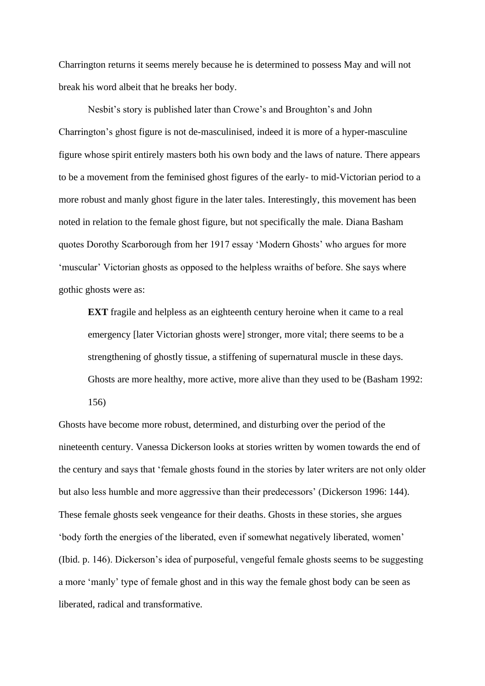Charrington returns it seems merely because he is determined to possess May and will not break his word albeit that he breaks her body.

Nesbit's story is published later than Crowe's and Broughton's and John Charrington's ghost figure is not de-masculinised, indeed it is more of a hyper-masculine figure whose spirit entirely masters both his own body and the laws of nature. There appears to be a movement from the feminised ghost figures of the early- to mid-Victorian period to a more robust and manly ghost figure in the later tales. Interestingly, this movement has been noted in relation to the female ghost figure, but not specifically the male. Diana Basham quotes Dorothy Scarborough from her 1917 essay 'Modern Ghosts' who argues for more 'muscular' Victorian ghosts as opposed to the helpless wraiths of before. She says where gothic ghosts were as:

**EXT** fragile and helpless as an eighteenth century heroine when it came to a real emergency [later Victorian ghosts were] stronger, more vital; there seems to be a strengthening of ghostly tissue, a stiffening of supernatural muscle in these days. Ghosts are more healthy, more active, more alive than they used to be (Basham 1992: 156)

Ghosts have become more robust, determined, and disturbing over the period of the nineteenth century. Vanessa Dickerson looks at stories written by women towards the end of the century and says that 'female ghosts found in the stories by later writers are not only older but also less humble and more aggressive than their predecessors' (Dickerson 1996: 144). These female ghosts seek vengeance for their deaths. Ghosts in these stories, she argues 'body forth the energies of the liberated, even if somewhat negatively liberated, women' (Ibid. p. 146). Dickerson's idea of purposeful, vengeful female ghosts seems to be suggesting a more 'manly' type of female ghost and in this way the female ghost body can be seen as liberated, radical and transformative.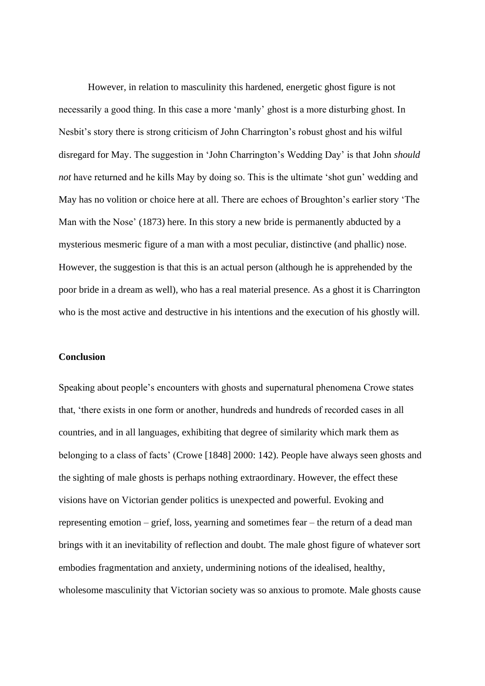However, in relation to masculinity this hardened, energetic ghost figure is not necessarily a good thing. In this case a more 'manly' ghost is a more disturbing ghost. In Nesbit's story there is strong criticism of John Charrington's robust ghost and his wilful disregard for May. The suggestion in 'John Charrington's Wedding Day' is that John *should not* have returned and he kills May by doing so. This is the ultimate 'shot gun' wedding and May has no volition or choice here at all. There are echoes of Broughton's earlier story 'The Man with the Nose' (1873) here. In this story a new bride is permanently abducted by a mysterious mesmeric figure of a man with a most peculiar, distinctive (and phallic) nose. However, the suggestion is that this is an actual person (although he is apprehended by the poor bride in a dream as well), who has a real material presence. As a ghost it is Charrington who is the most active and destructive in his intentions and the execution of his ghostly will.

#### **Conclusion**

Speaking about people's encounters with ghosts and supernatural phenomena Crowe states that, 'there exists in one form or another, hundreds and hundreds of recorded cases in all countries, and in all languages, exhibiting that degree of similarity which mark them as belonging to a class of facts' (Crowe [1848] 2000: 142). People have always seen ghosts and the sighting of male ghosts is perhaps nothing extraordinary. However, the effect these visions have on Victorian gender politics is unexpected and powerful. Evoking and representing emotion – grief, loss, yearning and sometimes fear – the return of a dead man brings with it an inevitability of reflection and doubt. The male ghost figure of whatever sort embodies fragmentation and anxiety, undermining notions of the idealised, healthy, wholesome masculinity that Victorian society was so anxious to promote. Male ghosts cause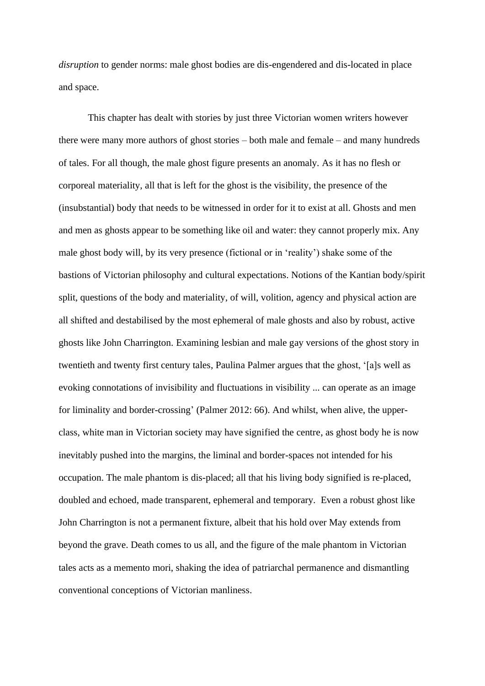*disruption* to gender norms: male ghost bodies are dis-engendered and dis-located in place and space.

This chapter has dealt with stories by just three Victorian women writers however there were many more authors of ghost stories – both male and female – and many hundreds of tales. For all though, the male ghost figure presents an anomaly. As it has no flesh or corporeal materiality, all that is left for the ghost is the visibility, the presence of the (insubstantial) body that needs to be witnessed in order for it to exist at all. Ghosts and men and men as ghosts appear to be something like oil and water: they cannot properly mix. Any male ghost body will, by its very presence (fictional or in 'reality') shake some of the bastions of Victorian philosophy and cultural expectations. Notions of the Kantian body/spirit split, questions of the body and materiality, of will, volition, agency and physical action are all shifted and destabilised by the most ephemeral of male ghosts and also by robust, active ghosts like John Charrington. Examining lesbian and male gay versions of the ghost story in twentieth and twenty first century tales, Paulina Palmer argues that the ghost, '[a]s well as evoking connotations of invisibility and fluctuations in visibility ... can operate as an image for liminality and border-crossing' (Palmer 2012: 66). And whilst, when alive, the upperclass, white man in Victorian society may have signified the centre, as ghost body he is now inevitably pushed into the margins, the liminal and border-spaces not intended for his occupation. The male phantom is dis-placed; all that his living body signified is re-placed, doubled and echoed, made transparent, ephemeral and temporary. Even a robust ghost like John Charrington is not a permanent fixture, albeit that his hold over May extends from beyond the grave. Death comes to us all, and the figure of the male phantom in Victorian tales acts as a memento mori, shaking the idea of patriarchal permanence and dismantling conventional conceptions of Victorian manliness.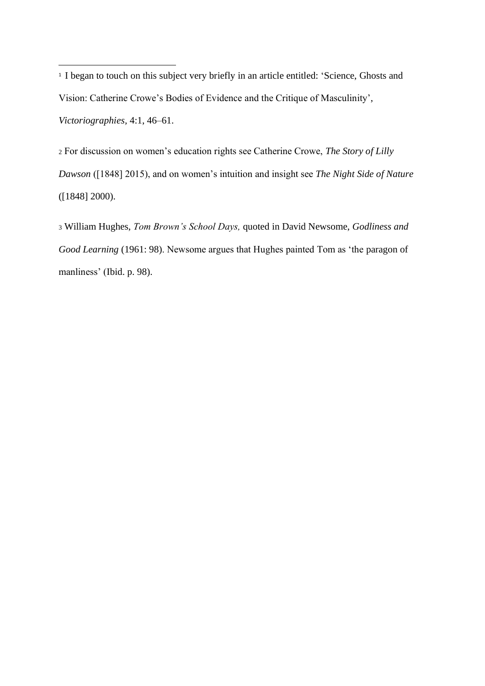<sup>1</sup> I began to touch on this subject very briefly in an article entitled: 'Science, Ghosts and Vision: Catherine Crowe's Bodies of Evidence and the Critique of Masculinity', *Victoriographies,* 4:1, 46–61.

<sup>2</sup> For discussion on women's education rights see Catherine Crowe, *The Story of Lilly Dawson* ([1848] 2015), and on women's intuition and insight see *The Night Side of Nature* ([1848] 2000).

<sup>3</sup> William Hughes, *Tom Brown's School Days,* quoted in David Newsome, *Godliness and Good Learning* (1961: 98). Newsome argues that Hughes painted Tom as 'the paragon of manliness' (Ibid. p. 98).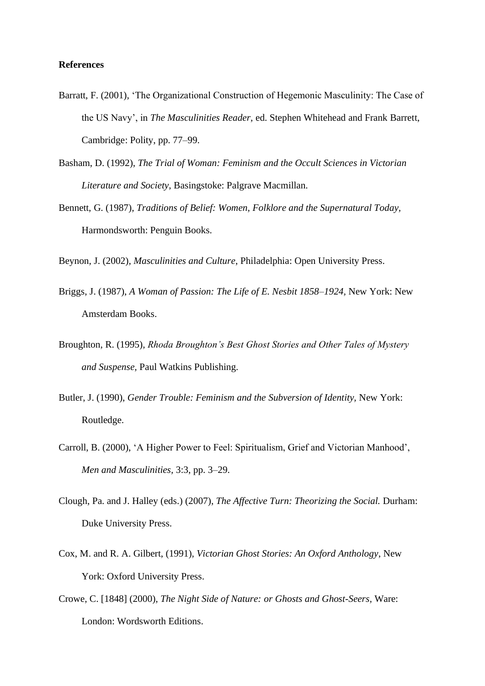## **References**

- Barratt, F. (2001), 'The Organizational Construction of Hegemonic Masculinity: The Case of the US Navy', in *The Masculinities Reader,* ed. Stephen Whitehead and Frank Barrett, Cambridge: Polity, pp. 77–99.
- Basham, D. (1992), *The Trial of Woman: Feminism and the Occult Sciences in Victorian Literature and Society*, Basingstoke: Palgrave Macmillan.
- Bennett, G. (1987), *Traditions of Belief: Women, Folklore and the Supernatural Today,*  Harmondsworth: Penguin Books.

Beynon, J. (2002), *Masculinities and Culture*, Philadelphia: Open University Press.

- Briggs, J. (1987), *A Woman of Passion: The Life of E. Nesbit 1858–1924,* New York: New Amsterdam Books.
- Broughton, R. (1995), *Rhoda Broughton's Best Ghost Stories and Other Tales of Mystery and Suspense,* Paul Watkins Publishing.
- Butler, J. (1990), *Gender Trouble: Feminism and the Subversion of Identity*, New York: Routledge.
- Carroll, B. (2000), 'A Higher Power to Feel: Spiritualism, Grief and Victorian Manhood', *Men and Masculinities,* 3:3, pp. 3–29.
- Clough, Pa. and J. Halley (eds.) (2007), *The Affective Turn: Theorizing the Social.* Durham: Duke University Press.
- Cox, M. and R. A. Gilbert, (1991), *Victorian Ghost Stories: An Oxford Anthology*, New York: Oxford University Press.
- Crowe, C. [1848] (2000), *The Night Side of Nature: or Ghosts and Ghost-Seers,* Ware: London: Wordsworth Editions.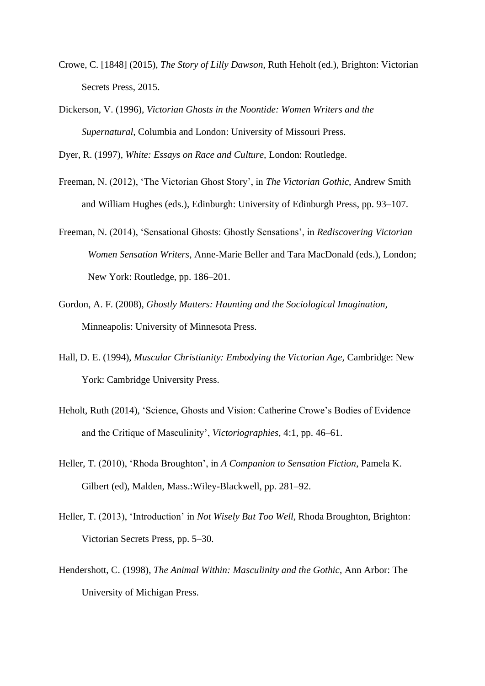- Crowe, C. [1848] (2015), *The Story of Lilly Dawson*, Ruth Heholt (ed.), Brighton: Victorian Secrets Press, 2015.
- Dickerson, V. (1996), *Victorian Ghosts in the Noontide: Women Writers and the Supernatural,* Columbia and London: University of Missouri Press.

Dyer, R. (1997), *White: Essays on Race and Culture,* London: Routledge.

- Freeman, N. (2012), 'The Victorian Ghost Story', in *The Victorian Gothic*, Andrew Smith and William Hughes (eds.), Edinburgh: University of Edinburgh Press, pp. 93–107.
- Freeman, N. (2014), 'Sensational Ghosts: Ghostly Sensations', in *Rediscovering Victorian Women Sensation Writers,* Anne-Marie Beller and Tara MacDonald (eds.), London; New York: Routledge, pp. 186–201.
- Gordon, A. F. (2008), *Ghostly Matters: Haunting and the Sociological Imagination,*  Minneapolis: University of Minnesota Press.
- Hall, D. E. (1994), *Muscular Christianity: Embodying the Victorian Age,* Cambridge: New York: Cambridge University Press.
- Heholt, Ruth (2014), 'Science, Ghosts and Vision: Catherine Crowe's Bodies of Evidence and the Critique of Masculinity', *Victoriographies,* 4:1, pp. 46–61.
- Heller, T. (2010), 'Rhoda Broughton', in *A Companion to Sensation Fiction*, Pamela K. Gilbert (ed), Malden, Mass.:Wiley-Blackwell, pp. 281–92.
- Heller, T. (2013), 'Introduction' in *Not Wisely But Too Well,* Rhoda Broughton, Brighton: Victorian Secrets Press, pp. 5–30.
- Hendershott, C. (1998), *The Animal Within: Masculinity and the Gothic*, Ann Arbor: The University of Michigan Press.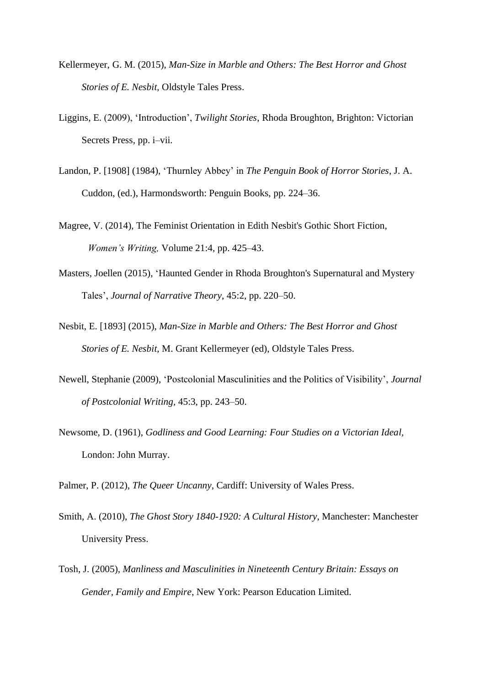- Kellermeyer, G. M. (2015), *Man-Size in Marble and Others: The Best Horror and Ghost Stories of E. Nesbit,* Oldstyle Tales Press.
- Liggins, E. (2009), 'Introduction', *Twilight Stories*, Rhoda Broughton, Brighton: Victorian Secrets Press, pp. i–vii.
- Landon, P. [1908] (1984), 'Thurnley Abbey' in *The Penguin Book of Horror Stories*, J. A. Cuddon, (ed.), Harmondsworth: Penguin Books, pp. 224–36.
- Magree, V. (2014), The Feminist Orientation in Edith Nesbit's Gothic Short Fiction, *Women's Writing,* Volume 21:4, pp. 425–43.
- Masters, Joellen (2015), 'Haunted Gender in Rhoda Broughton's Supernatural and Mystery Tales', *Journal of Narrative Theory*, 45:2, pp. 220–50.

Nesbit, E. [1893] (2015), *Man-Size in Marble and Others: The Best Horror and Ghost Stories of E. Nesbit,* M. Grant Kellermeyer (ed), Oldstyle Tales Press.

- Newell, Stephanie (2009), 'Postcolonial Masculinities and the Politics of Visibility', *Journal of Postcolonial Writing,* 45:3, pp. 243–50.
- Newsome, D. (1961), *Godliness and Good Learning: Four Studies on a Victorian Ideal,*  London: John Murray.

Palmer, P. (2012), *The Queer Uncanny*, Cardiff: University of Wales Press.

- Smith, A. (2010), *The Ghost Story 1840-1920: A Cultural History,* Manchester: Manchester University Press.
- Tosh, J. (2005), *Manliness and Masculinities in Nineteenth Century Britain: Essays on Gender, Family and Empire*, New York: Pearson Education Limited.